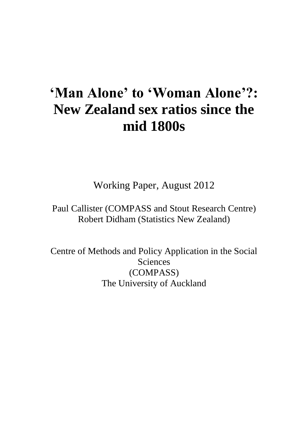# **'Man Alone' to 'Woman Alone'?: New Zealand sex ratios since the mid 1800s**

Working Paper, August 2012

Paul Callister (COMPASS and Stout Research Centre) Robert Didham (Statistics New Zealand)

Centre of Methods and Policy Application in the Social Sciences (COMPASS) The University of Auckland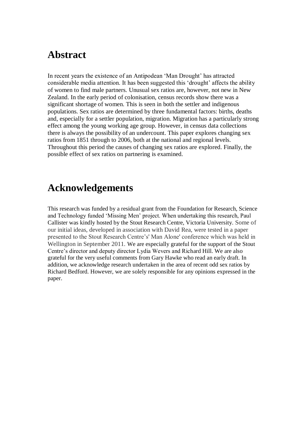# **Abstract**

In recent years the existence of an Antipodean 'Man Drought' has attracted considerable media attention. It has been suggested this 'drought' affects the ability of women to find male partners. Unusual sex ratios are, however, not new in New Zealand. In the early period of colonisation, census records show there was a significant shortage of women. This is seen in both the settler and indigenous populations. Sex ratios are determined by three fundamental factors: births, deaths and, especially for a settler population, migration. Migration has a particularly strong effect among the young working age group. However, in census data collections there is always the possibility of an undercount. This paper explores changing sex ratios from 1851 through to 2006, both at the national and regional levels. Throughout this period the causes of changing sex ratios are explored. Finally, the possible effect of sex ratios on partnering is examined.

# **Acknowledgements**

This research was funded by a residual grant from the Foundation for Research, Science and Technology funded 'Missing Men' project. When undertaking this research, Paul Callister was kindly hosted by the Stout Research Centre, Victoria University. Some of our initial ideas, developed in association with David Rea, were tested in a paper presented to the Stout Research Centre's' Man Alone' conference which was held in Wellington in September 2011. We are especially grateful for the support of the Stout Centre's director and deputy director Lydia Wevers and Richard Hill. We are also grateful for the very useful comments from Gary Hawke who read an early draft. In addition, we acknowledge research undertaken in the area of recent odd sex ratios by Richard Bedford. However, we are solely responsible for any opinions expressed in the paper.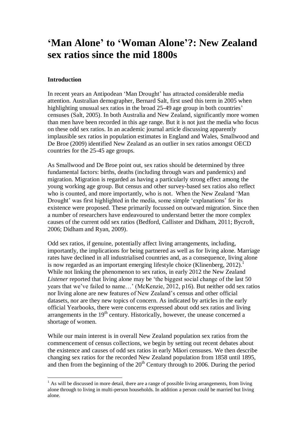# **'Man Alone' to 'Woman Alone'?: New Zealand sex ratios since the mid 1800s**

#### **Introduction**

 $\overline{a}$ 

In recent years an Antipodean 'Man Drought' has attracted considerable media attention. Australian demographer, Bernard Salt, first used this term in 2005 when highlighting unusual sex ratios in the broad 25-49 age group in both countries' censuses (Salt, 2005). In both Australia and New Zealand, significantly more women than men have been recorded in this age range. But it is not just the media who focus on these odd sex ratios. In an academic journal article discussing apparently implausible sex ratios in population estimates in England and Wales, Smallwood and De Broe (2009) identified New Zealand as an outlier in sex ratios amongst OECD countries for the 25-45 age groups.

As Smallwood and De Broe point out, sex ratios should be determined by three fundamental factors: births, deaths (including through wars and pandemics) and migration. Migration is regarded as having a particularly strong effect among the young working age group. But census and other survey-based sex ratios also reflect who is counted, and more importantly, who is not. When the New Zealand 'Man Drought' was first highlighted in the media, some simple 'explanations' for its existence were proposed. These primarily focussed on outward migration. Since then a number of researchers have endeavoured to understand better the more complex causes of the current odd sex ratios (Bedford, Callister and Didham, 2011; Bycroft, 2006; Didham and Ryan, 2009).

Odd sex ratios, if genuine, potentially affect living arrangements, including, importantly, the implications for being partnered as well as for living alone. Marriage rates have declined in all industrialised countries and, as a consequence, living alone is now regarded as an important emerging lifestyle choice (Klinenberg,  $2012$ ).<sup>1</sup> While not linking the phenomenon to sex ratios, in early 2012 the New Zealand *Listener* reported that living alone may be 'the biggest social change of the last 50 years that we've failed to name…' (McKenzie, 2012, p16). But neither odd sex ratios nor living alone are new features of New Zealand's census and other official datasets, nor are they new topics of concern. As indicated by articles in the early official Yearbooks, there were concerns expressed about odd sex ratios and living arrangements in the  $19<sup>th</sup>$  century. Historically, however, the unease concerned a shortage of women.

While our main interest is in overall New Zealand population sex ratios from the commencement of census collections, we begin by setting out recent debates about the existence and causes of odd sex ratios in early Māori censuses. We then describe changing sex ratios for the recorded New Zealand population from 1858 until 1895, and then from the beginning of the  $20<sup>th</sup>$  Century through to 2006. During the period

 $<sup>1</sup>$  As will be discussed in more detail, there are a range of possible living arrangements, from living</sup> alone through to living in multi-person households. In addition a person could be married but living alone.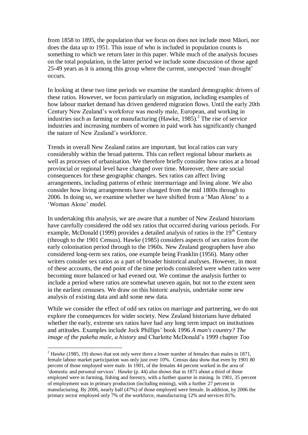from 1858 to 1895, the population that we focus on does not include most Māori, nor does the data up to 1951. This issue of who is included in population counts is something to which we return later in this paper. While much of the analysis focuses on the total population, in the latter period we include some discussion of those aged 25-49 years as it is among this group where the current, unexpected 'man drought' occurs.

In looking at these two time periods we examine the standard demographic drivers of these ratios. However, we focus particularly on migration, including examples of how labour market demand has driven gendered migration flows. Until the early 20th Century New Zealand's workforce was mostly male, [European,](http://www.teara.govt.nz/glossary#Pākehā) and working in industries such as farming or manufacturing (Hawke, 1985). 2 The rise of service industries and increasing numbers of women in paid work has significantly changed the nature of New Zealand's workforce.

Trends in overall New Zealand ratios are important, but local ratios can vary considerably within the broad patterns. This can reflect regional labour markets as well as processes of urbanisation. We therefore briefly consider how ratios at a broad provincial or regional level have changed over time. Moreover, there are social consequences for these geographic changes. Sex ratios can affect living arrangements, including patterns of ethnic intermarriage and living alone. We also consider how living arrangements have changed from the mid 1800s through to 2006. In doing so, we examine whether we have shifted from a 'Man Alone' to a 'Woman Alone' model.

In undertaking this analysis, we are aware that a number of New Zealand historians have carefully considered the odd sex ratios that occurred during various periods. For example, McDonald (1999) provides a detailed analysis of ratios in the  $19<sup>th</sup>$  Century (through to the 1901 Census). Hawke (1985) considers aspects of sex ratios from the early colonisation period through to the 1960s. New Zealand geographers have also considered long-term sex ratios, one example being Franklin (1956). Many other writers consider sex ratios as a part of broader historical analyses. However, in most of these accounts, the end point of the time periods considered were when ratios were becoming more balanced or had evened out. We continue the analysis further to include a period where ratios are somewhat uneven again, but not to the extent seen in the earliest censuses. We draw on this historic analysis, undertake some new analysis of existing data and add some new data.

While we consider the effect of odd sex ratios on marriage and partnering, we do not explore the consequences for wider society. New Zealand historians have debated whether the early, extreme sex ratios have had any long term impact on institutions and attitudes. Examples include Jock Phillips' book 1996 *A man's country? The image of the pakeha male, a history* and Charlotte McDonald's 1999 chapter *Too* 

 $\overline{a}$ 

<sup>&</sup>lt;sup>2</sup> Hawke (1985, 19) shows that not only were there a lower number of females than males in 1871, female labour market participation was only just over 10%. Census data show that even by 1901 80 percent of those employed were male. In 1901, of the females 44 percent worked in the area of 'domestic and personal services'. Hawke (p. 44) also shows that in 1871 about a third of those employed were in farming, fishing and forestry, with a further quarter in mining. In 1901, 35 percent of employment was in primary production (including mining), with a further 27 percent in manufacturing. By 2006, nearly half (47%) of those employed were female. In addition, by 2006 the primary sector employed only 7% of the workforce, manufacturing 12% and services 81%.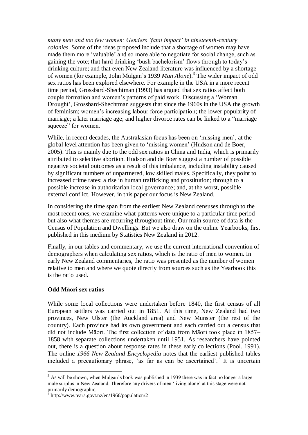*many men and too few women: Genders 'fatal impact' in nineteenth-century colonies*. Some of the ideas proposed include that a shortage of women may have made them more 'valuable' and so more able to negotiate for social change, such as gaining the vote; that hard drinking 'bush bachelorism' flows through to today's drinking culture; and that even New Zealand literature was influenced by a shortage of women (for example, John Mulgan's 1939 *Man Alone*). 3 The wider impact of odd sex ratios has been explored elsewhere. For example in the USA in a more recent time period, Grossbard-Shechtman (1993) has argued that sex ratios affect both couple formation and women's patterns of paid work. Discussing a 'Woman Drought', Grossbard-Shechtman suggests that since the 1960s in the USA the growth of feminism; women's increasing labour force participation; the lower popularity of marriage; a later marriage age; and higher divorce rates can be linked to a "marriage squeeze" for women.

While, in recent decades, the Australasian focus has been on 'missing men', at the global level attention has been given to 'missing women' (Hudson and de Boer, 2005). This is mainly due to the odd sex ratios in China and India, which is primarily attributed to selective abortion. Hudson and de Boer suggest a number of possible negative societal outcomes as a result of this imbalance, including instability caused by significant numbers of unpartnered, low skilled males. Specifically, they point to increased crime rates; a rise in human trafficking and prostitution; through to a possible increase in authoritarian local governance; and, at the worst, possible external conflict. However, in this paper our focus is New Zealand.

In considering the time span from the earliest New Zealand censuses through to the most recent ones, we examine what patterns were unique to a particular time period but also what themes are recurring throughout time. Our main source of data is the Census of Population and Dwellings. But we also draw on the online Yearbooks, first published in this medium by Statistics New Zealand in 2012.

Finally, in our tables and commentary, we use the current international convention of demographers when calculating sex ratios, which is the ratio of men to women. In early New Zealand commentaries, the ratio was presented as the number of women relative to men and where we quote directly from sources such as the Yearbook this is the ratio used.

### **Odd Māori sex ratios**

While some local collections were undertaken before 1840, the first census of all European settlers was carried out in 1851. At this time, New Zealand had two provinces, New Ulster (the Auckland area) and New Munster (the rest of the country). Each province had its own government and each carried out a census that did not include Māori. The first collection of data from Māori took place in 1857– 1858 with separate collections undertaken until 1951. As researchers have pointed out, there is a question about response rates in these early collections (Pool. 1991). The online *1966 New Zealand Encyclopedia* notes that the earliest published tables included a precautionary phrase, 'as far as can be ascertained'.<sup>4</sup> It is uncertain

 $\overline{a}$  $3$  As will be shown, when Mulgan's book was published in 1939 there was in fact no longer a large male surplus in New Zealand. Therefore any drivers of men 'living alone' at this stage were not primarily demographic.

<sup>&</sup>lt;sup>4</sup> http://www.teara.govt.nz/en/1966/population/2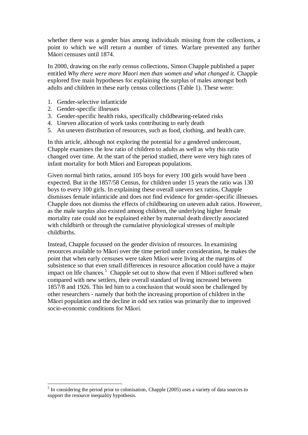whether there was a gender bias among individuals missing from the collections, a point to which we will return a number of times. Warfare prevented any further Māori censuses until 1874.

In 2000, drawing on the early census collections, Simon Chapple published a paper entitled *Why there were more Maori men than women and what changed it.* Chapple explored five main hypotheses for explaining the surplus of males amongst both adults and children in these early census collections (Table 1). These were:

- 1. Gender-selective infanticide
- 2. Gender-specific illnesses

 $\overline{a}$ 

- 3. Gender-specific health risks, specifically childbearing-related risks
- 4. Uneven allocation of work tasks contributing to early death
- 5. An uneven distribution of resources, such as food, clothing, and health care.

In this article, although not exploring the potential for a gendered undercount, Chapple examines the low ratio of children to adults as well as why this ratio changed over time. At the start of the period studied, there were very high rates of infant mortality for both Māori and European populations.

Given normal birth ratios, around 105 boys for every 100 girls would have been expected. But in the 1857/58 Census, for children under 15 years the ratio was 130 boys to every 100 girls. In explaining these overall uneven sex ratios, Chapple dismisses female infanticide and does not find evidence for gender-specific illnesses. Chapple does not dismiss the effects of childbearing on uneven adult ratios. However, as the male surplus also existed among children, the underlying higher female mortality rate could not be explained either by maternal death directly associated with childbirth or through the cumulative physiological stresses of multiple childbirths.

Instead, Chapple focussed on the gender division of resources. In examining resources available to Māori over the time period under consideration, he makes the point that when early censuses were taken Māori were living at the margins of subsistence so that even small differences in resource allocation could have a major impact on life chances.<sup>5</sup> Chapple set out to show that even if Matori suffered when compared with new settlers, their overall standard of living increased between 1857/8 and 1926. This led him to a conclusion that would soon be challenged by other researchers - namely that both the increasing proportion of children in the Māori population and the decline in odd sex ratios was primarily due to improved socio-economic conditions for Māori.

<sup>&</sup>lt;sup>5</sup> In considering the period prior to colonisation, Chapple (2005) uses a variety of data sources to support the resource inequality hypothesis.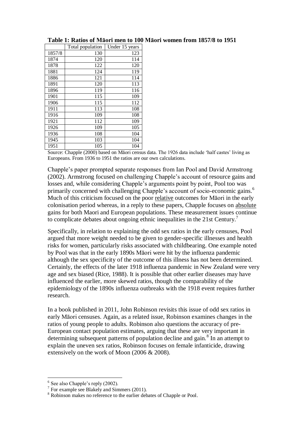|        | Total population | Under 15 years |
|--------|------------------|----------------|
| 1857/8 | 130              | 123            |
| 1874   | 120              | 114            |
| 1878   | 122              | 120            |
| 1881   | 124              | 119            |
| 1886   | 121              | 114            |
| 1891   | 120              | 113            |
| 1896   | 119              | 116            |
| 1901   | 115              | 109            |
| 1906   | 115              | 112            |
| 1911   | 113              | 108            |
| 1916   | 109              | 108            |
| 1921   | 112              | 109            |
| 1926   | 109              | 105            |
| 1936   | 108              | 104            |
| 1945   | 103              | 104            |
| 1951   | 105              | 104            |

# **Table 1: Ratios of Māori men to 100 Māori women from 1857/8 to 1951**

Source: Chapple (2000) based on Māori census data. The 1926 data include 'half castes' living as Europeans. From 1936 to 1951 the ratios are our own calculations.

Chapple's paper prompted separate responses from Ian Pool and David Armstrong (2002). Armstrong focused on challenging Chapple's account of resource gains and losses and, while considering Chapple's arguments point by point, Pool too was primarily concerned with challenging Chapple's account of socio-economic gains.<sup>6</sup> Much of this criticism focused on the poor relative outcomes for Māori in the early colonisation period whereas, in a reply to these papers, Chapple focuses on absolute gains for both Maori and European populations. These measurement issues continue to complicate debates about ongoing ethnic inequalities in the 21st Century.<sup>7</sup>

Specifically, in relation to explaining the odd sex ratios in the early censuses, Pool argued that more weight needed to be given to gender-specific illnesses and health risks for women, particularly risks associated with childbearing. One example noted by Pool was that in the early 1890s Māori were hit by the influenza pandemic although the sex specificity of the outcome of this illness has not been determined. Certainly, the effects of the later 1918 influenza pandemic in New Zealand were very age and sex biased (Rice, 1988). It is possible that other earlier diseases may have influenced the earlier, more skewed ratios, though the comparability of the epidemiology of the 1890s influenza outbreaks with the 1918 event requires further research.

In a book published in 2011, John Robinson revisits this issue of odd sex ratios in early Māori censuses. Again, as a related issue, Robinson examines changes in the ratios of young people to adults. Robinson also questions the accuracy of pre-European contact population estimates, arguing that these are very important in determining subsequent patterns of population decline and gain.<sup>8</sup> In an attempt to explain the uneven sex ratios, Robinson focuses on female infanticide, drawing extensively on the work of Moon (2006 & 2008).

 $\overline{a}$ 

<sup>&</sup>lt;sup>6</sup> See also Chapple's reply (2002).

<sup>&</sup>lt;sup>7</sup> For example see Blakely and Simmers (2011).

<sup>&</sup>lt;sup>8</sup> Robinson makes no reference to the earlier debates of Chapple or Pool.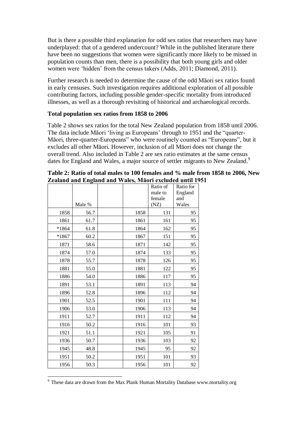But is there a possible third explanation for odd sex ratios that researchers may have underplayed: that of a gendered undercount? While in the published literature there have been no suggestions that women were significantly more likely to be missed in population counts than men, there is a possibility that both young girls and older women were 'hidden' from the census takers (Adds, 2011; Diamond, 2011).

Further research is needed to determine the cause of the odd Māori sex ratios found in early censuses. Such investigation requires additional exploration of all possible contributing factors, including possible gender-specific mortality from introduced illnesses, as well as a thorough revisiting of historical and archaeological records.

# **Total population sex ratios from 1858 to 2006**

Table 2 shows sex ratios for the total New Zealand population from 1858 until 2006. The data include Māori 'living as Europeans' through to 1951 and the "quarter-Māori, three-quarter-Europeans" who were routinely counted as "Europeans", but it excludes all other Māori. However, inclusion of all Māori does not change the overall trend. Also included in Table 2 are sex ratio estimates at the same census dates for England and Wales, a major source of settler migrants to New Zealand.<sup>9</sup>

|         | Male % |      | Ratio of<br>male to<br>female<br>(NZ) | Ratio for<br>England<br>and<br>Wales |
|---------|--------|------|---------------------------------------|--------------------------------------|
| 1858    | 56.7   | 1858 | 131                                   | 95                                   |
| 1861    | 61.7   | 1861 | 161                                   | 95                                   |
| *1864   | 61.8   | 1864 | 162                                   | 95                                   |
| $*1867$ | 60.2   | 1867 | 151                                   | 95                                   |
| 1871    | 58.6   | 1871 | 142                                   | 95                                   |
| 1874    | 57.0   | 1874 | 133                                   | 95                                   |
| 1878    | 55.7   | 1878 | 126                                   | 95                                   |
| 1881    | 55.0   | 1881 | 122                                   | 95                                   |
| 1886    | 54.0   | 1886 | 117                                   | 95                                   |
| 1891    | 53.1   | 1891 | 113                                   | 94                                   |
| 1896    | 52.8   | 1896 | 112                                   | 94                                   |
| 1901    | 52.5   | 1901 | 111                                   | 94                                   |
| 1906    | 53.0   | 1906 | 113                                   | 94                                   |
| 1911    | 52.7   | 1911 | 112                                   | 94                                   |
| 1916    | 50.2   | 1916 | 101                                   | 93                                   |
| 1921    | 51.1   | 1921 | 105                                   | 91                                   |
| 1936    | 50.7   | 1936 | 103                                   | 92                                   |
| 1945    | 48.8   | 1945 | 95                                    | 92                                   |
| 1951    | 50.2   | 1951 | 101                                   | 93                                   |
| 1956    | 50.3   | 1956 | 101                                   | 92                                   |

**Table 2: Ratio of total males to 100 females and % male from 1858 to 2006, New Zealand and England and Wales, Māori excluded until 1951**

 $\overline{a}$ <sup>9</sup> These data are drawn from the Max Plank Human Mortality Database www.mortality.org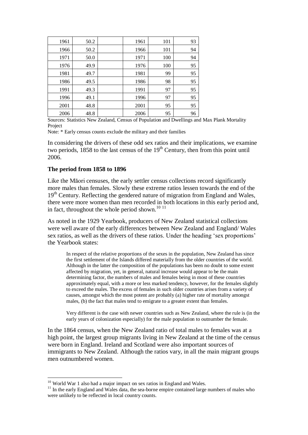| 1961 | 50.2 | 1961 | 101 | 93 |
|------|------|------|-----|----|
| 1966 | 50.2 | 1966 | 101 | 94 |
| 1971 | 50.0 | 1971 | 100 | 94 |
| 1976 | 49.9 | 1976 | 100 | 95 |
| 1981 | 49.7 | 1981 | 99  | 95 |
| 1986 | 49.5 | 1986 | 98  | 95 |
| 1991 | 49.3 | 1991 | 97  | 95 |
| 1996 | 49.1 | 1996 | 97  | 95 |
| 2001 | 48.8 | 2001 | 95  | 95 |
| 2006 | 48.8 | 2006 | 95  | 96 |

Sources: Statistics New Zealand, Census of Population and Dwellings and Max Plank Mortality Project

Note: \* Early census counts exclude the military and their families

In considering the drivers of these odd sex ratios and their implications, we examine two periods,  $1858$  to the last census of the  $19<sup>th</sup>$  Century, then from this point until 2006.

#### **The period from 1858 to 1896**

Like the Māori censuses, the early settler census collections record significantly more males than females. Slowly these extreme ratios lessen towards the end of the 19<sup>th</sup> Century. Reflecting the gendered nature of migration from England and Wales, there were more women than men recorded in both locations in this early period and, in fact, throughout the whole period shown.<sup>10 11</sup>

As noted in the 1929 Yearbook, producers of New Zealand statistical collections were well aware of the early differences between New Zealand and England/ Wales sex ratios, as well as the drivers of these ratios. Under the heading 'sex proportions' the Yearbook states:

In respect of the relative proportions of the sexes in the population, New Zealand has since the first settlement of the Islands differed materially from the older countries of the world. Although in the latter the composition of the populations has been no doubt to some extent affected by migration, yet, in general, natural increase would appear to be the main determining factor, the numbers of males and females being in most of these countries approximately equal, with a more or less marked tendency, however, for the females slightly to exceed the males. The excess of females in such older countries arises from a variety of causes, amongst which the most potent are probably (a) higher rate of mortality amongst males, (b) the fact that males tend to emigrate to a greater extent than females.

Very different is the case with newer countries such as New Zealand, where the rule is (in the early years of colonization especially) for the male population to outnumber the female.

In the 1864 census, when the New Zealand ratio of total males to females was at a high point, the largest group migrants living in New Zealand at the time of the census were born in England. Ireland and Scotland were also important sources of immigrants to New Zealand. Although the ratios vary, in all the main migrant groups men outnumbered women.

 $\overline{a}$ 

<sup>&</sup>lt;sup>10</sup> World War 1 also had a major impact on sex ratios in England and Wales.

<sup>&</sup>lt;sup>11</sup> In the early England and Wales data, the sea-borne empire contained large numbers of males who were unlikely to be reflected in local country counts.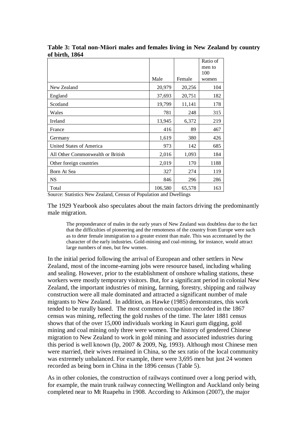|                                   |         |        | Ratio of      |
|-----------------------------------|---------|--------|---------------|
|                                   |         |        | men to<br>100 |
|                                   | Male    | Female | women         |
| New Zealand                       | 20,979  | 20,256 | 104           |
| England                           | 37,693  | 20,751 | 182           |
| Scotland                          | 19,799  | 11,141 | 178           |
| Wales                             | 781     | 248    | 315           |
| Ireland                           | 13,945  | 6,372  | 219           |
| France                            | 416     | 89     | 467           |
| Germany                           | 1,619   | 380    | 426           |
| <b>United States of America</b>   | 973     | 142    | 685           |
| All Other Commonwealth or British | 2,016   | 1,093  | 184           |
| Other foreign countries           | 2,019   | 170    | 1188          |
| Born At Sea                       | 327     | 274    | 119           |
| <b>NS</b>                         | 846     | 296    | 286           |
| Total                             | 106,580 | 65,578 | 163           |

**Table 3: Total non-Māori males and females living in New Zealand by country of birth, 1864**

Source: Statistics New Zealand, Census of Population and Dwellings

The 1929 Yearbook also speculates about the main factors driving the predominantly male migration.

The preponderance of males in the early years of New Zealand was doubtless due to the fact that the difficulties of pioneering and the remoteness of the country from Europe were such as to deter female immigration to a greater extent than male. This was accentuated by the character of the early industries. Gold-mining and coal-mining, for instance, would attract large numbers of men, but few women.

In the initial period following the arrival of European and other settlers in New Zealand, most of the income-earning jobs were resource based, including whaling and sealing. However, prior to the establishment of onshore whaling stations, these workers were mostly temporary visitors. But, for a significant period in colonial New Zealand, the important industries of mining, farming, forestry, shipping and railway construction were all male dominated and attracted a significant number of male migrants to New Zealand. In addition, as Hawke (1985) demonstrates, this work tended to be rurally based. The most common occupation recorded in the 1867 census was mining, reflecting the gold rushes of the time. The later 1881 census shows that of the over 15,000 individuals working in Kauri gum digging, gold mining and coal mining only three were women. The history of gendered Chinese migration to New Zealand to work in gold mining and associated industries during this period is well known (Ip, 2007 & 2009, Ng, 1993). Although most Chinese men were married, their wives remained in China, so the sex ratio of the local community was extremely unbalanced. For example, there were 3,695 men but just 24 women recorded as being born in China in the 1896 census (Table 5).

As in other colonies, the construction of railways continued over a long period with, for example, the main trunk railway connecting Wellington and Auckland only being completed near to Mt Ruapehu in 1908. According to Atkinson (2007), the major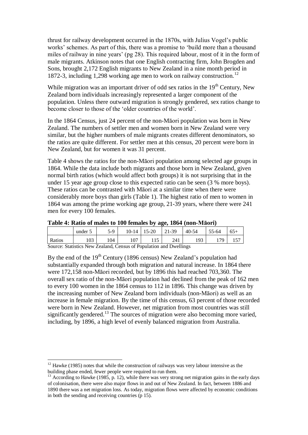thrust for railway development occurred in the 1870s, with Julius Vogel's public works' schemes. As part of this, there was a promise to 'build more than a thousand miles of railway in nine years' (pg 28). This required labour, most of it in the form of male migrants. Atkinson notes that one English contracting firm, John Brogden and Sons, brought 2,172 English migrants to New Zealand in a nine month period in 1872-3, including 1,298 working age men to work on railway construction.<sup>12</sup>

While migration was an important driver of odd sex ratios in the  $19<sup>th</sup>$  Century, New Zealand born individuals increasingly represented a larger component of the population. Unless there outward migration is strongly gendered, sex ratios change to become closer to those of the 'older countries of the world'.

In the 1864 Census, just 24 percent of the non-Māori population was born in New Zealand. The numbers of settler men and women born in New Zealand were very similar, but the higher numbers of male migrants creates different denominators, so the ratios are quite different. For settler men at this census, 20 percent were born in New Zealand, but for women it was 31 percent.

Table 4 shows the ratios for the non-Māori population among selected age groups in 1864. While the data include both migrants and those born in New Zealand, given normal birth ratios (which would affect both groups) it is not surprising that in the under 15 year age group close to this expected ratio can be seen (3 % more boys). These ratios can be contrasted with Māori at a similar time when there were considerably more boys than girls (Table 1). The highest ratio of men to women in 1864 was among the prime working age group, 21-39 years, where there were 241 men for every 100 females.

| <b>TAULE 11 AGUIU UL INAIGU LU TUU ICHIAICU D'A AGUI TUUL IVANUITITIAUI II</b> |                                    |       |  |                         |     |          |         |       |
|--------------------------------------------------------------------------------|------------------------------------|-------|--|-------------------------|-----|----------|---------|-------|
|                                                                                | under 5                            | $5-9$ |  | $10-14$   15-20   21-39 |     | $140-54$ | $55-64$ | $65+$ |
| Ratios                                                                         | 103                                | 104   |  |                         | 241 | 193      | 179     |       |
| $\sim$                                                                         | $\sim$ $\sim$ $\sim$ $\sim$ $\sim$ |       |  | $\sim$ $\sim$ $\sim$    |     |          |         |       |

|  |  |  | Table 4: Ratio of males to 100 females by age, 1864 (non-Māori) |
|--|--|--|-----------------------------------------------------------------|
|  |  |  |                                                                 |

Source: Statistics New Zealand, Census of Population and Dwellings

 $\overline{a}$ 

By the end of the  $19<sup>th</sup>$  Century (1896 census) New Zealand's population had substantially expanded through both migration and natural increase. In 1864 there were 172,158 non-Māori recorded, but by 1896 this had reached 703,360. The overall sex ratio of the non-Māori population had declined from the peak of 162 men to every 100 women in the 1864 census to 112 in 1896. This change was driven by the increasing number of New Zealand born individuals (non-Māori) as well as an increase in female migration. By the time of this census, 63 percent of those recorded were born in New Zealand. However, net migration from most countries was still significantly gendered.<sup>13</sup> The sources of migration were also becoming more varied, including, by 1896, a high level of evenly balanced migration from Australia.

 $12$  Hawke (1985) notes that while the construction of railways was very labour intensive as the building phase ended, fewer people were required to run them.

 $13$  According to Hawke (1985, p. 12), while there was very strong net migration gains in the early days of colonisation, there were also major flows in and out of New Zealand. In fact, between 1886 and 1890 there was a net migration loss. As today, migration flows were affected by economic conditions in both the sending and receiving countries (p 15).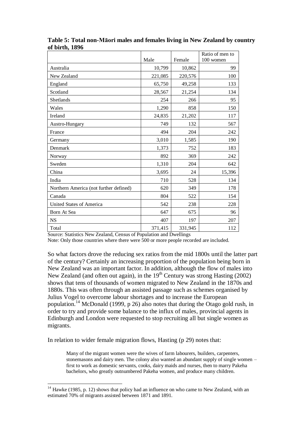|                                        | Male    | Female  | Ratio of men to<br>100 women |
|----------------------------------------|---------|---------|------------------------------|
| Australia                              | 10,799  | 10,862  | 99                           |
| New Zealand                            | 221,085 | 220,576 | 100                          |
| England                                | 65,750  | 49,258  | 133                          |
| Scotland                               | 28,567  | 21,254  | 134                          |
| Shetlands                              | 254     | 266     | 95                           |
| Wales                                  | 1,290   | 858     | 150                          |
| Ireland                                | 24,835  | 21,202  | 117                          |
| Austro-Hungary                         | 749     | 132     | 567                          |
| France                                 | 494     | 204     | 242                          |
| Germany                                | 3,010   | 1,585   | 190                          |
| Denmark                                | 1,373   | 752     | 183                          |
| Norway                                 | 892     | 369     | 242                          |
| Sweden                                 | 1,310   | 204     | 642                          |
| China                                  | 3,695   | 24      | 15,396                       |
| India                                  | 710     | 528     | 134                          |
| Northern America (not further defined) | 620     | 349     | 178                          |
| Canada                                 | 804     | 522     | 154                          |
| <b>United States of America</b>        | 542     | 238     | 228                          |
| Born At Sea                            | 647     | 675     | 96                           |
| <b>NS</b>                              | 407     | 197     | 207                          |
| Total                                  | 371,415 | 331,945 | 112                          |

**Table 5: Total non-Māori males and females living in New Zealand by country of birth, 1896**

Source: Statistics New Zealand, Census of Population and Dwellings

Note: Only those countries where there were 500 or more people recorded are included.

So what factors drove the reducing sex ratios from the mid 1800s until the latter part of the century? Certainly an increasing proportion of the population being born in New Zealand was an important factor. In addition, although the flow of males into New Zealand (and often out again), in the  $19<sup>th</sup>$  Century was strong Hasting (2002) shows that tens of thousands of women migrated to New Zealand in the 1870s and 1880s. This was often through an assisted passage such as schemes organised by Julius Vogel to overcome labour shortages and to increase the European population.<sup>14</sup> McDonald (1999, p 26) also notes that during the Otago gold rush, in order to try and provide some balance to the influx of males, provincial agents in Edinburgh and London were requested to stop recruiting all but single women as migrants.

In relation to wider female migration flows, Hasting (p 29) notes that:

 $\overline{a}$ 

Many of the migrant women were the wives of farm labourers, builders, carpenters, stonemasons and dairy men. The colony also wanted an abundant supply of single women – first to work as domestic servants, cooks, dairy maids and nurses, then to marry Pakeha bachelors, who greatly outnumbered Pakeha women, and produce many children.

<sup>&</sup>lt;sup>14</sup> Hawke (1985, p. 12) shows that policy had an influence on who came to New Zealand, with an estimated 70% of migrants assisted between 1871 and 1891.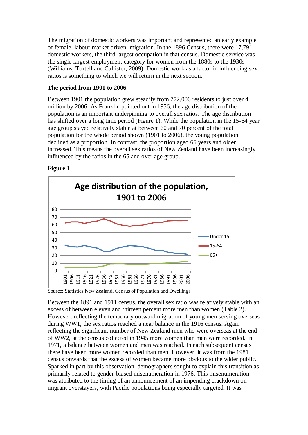The migration of domestic workers was important and represented an early example of female, labour market driven, migration. In the 1896 Census, there were 17,791 domestic workers, the third largest occupation in that census. Domestic service was the single largest employment category for women from the 1880s to the 1930s (Williams, Tortell and Callister, 2009). Domestic work as a factor in influencing sex ratios is something to which we will return in the next section.

# **The period from 1901 to 2006**

Between 1901 the population grew steadily from 772,000 residents to just over 4 million by 2006. As Franklin pointed out in 1956, the age distribution of the population is an important underpinning to overall sex ratios. The age distribution has shifted over a long time period (Figure 1). While the population in the 15-64 year age group stayed relatively stable at between 60 and 70 percent of the total population for the whole period shown (1901 to 2006), the young population declined as a proportion. In contrast, the proportion aged 65 years and older increased. This means the overall sex ratios of New Zealand have been increasingly influenced by the ratios in the 65 and over age group.

# **Figure 1**



Source: Statistics New Zealand, Census of Population and Dwellings

Between the 1891 and 1911 census, the overall sex ratio was relatively stable with an excess of between eleven and thirteen percent more men than women (Table 2). However, reflecting the temporary outward migration of young men serving overseas during WW1, the sex ratios reached a near balance in the 1916 census. Again reflecting the significant number of New Zealand men who were overseas at the end of WW2, at the census collected in 1945 more women than men were recorded. In 1971, a balance between women and men was reached. In each subsequent census there have been more women recorded than men. However, it was from the 1981 census onwards that the excess of women became more obvious to the wider public. Sparked in part by this observation, demographers sought to explain this transition as primarily related to gender-biased misenumeration in 1976. This misenumeration was attributed to the timing of an announcement of an impending crackdown on migrant overstayers, with Pacific populations being especially targeted. It was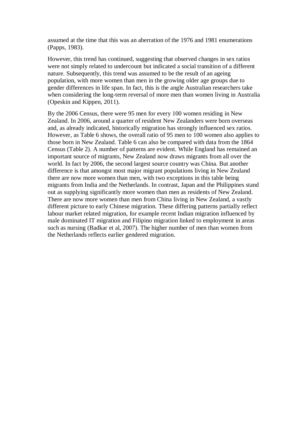assumed at the time that this was an aberration of the 1976 and 1981 enumerations (Papps, 1983).

However, this trend has continued, suggesting that observed changes in sex ratios were not simply related to undercount but indicated a social transition of a different nature. Subsequently, this trend was assumed to be the result of an ageing population, with more women than men in the growing older age groups due to gender differences in life span. In fact, this is the angle Australian researchers take when considering the long-term reversal of more men than women living in Australia (Opeskin and Kippen, 2011).

By the 2006 Census, there were 95 men for every 100 women residing in New Zealand. In 2006, around a quarter of resident New Zealanders were born overseas and, as already indicated, historically migration has strongly influenced sex ratios. However, as Table 6 shows, the overall ratio of 95 men to 100 women also applies to those born in New Zealand. Table 6 can also be compared with data from the 1864 Census (Table 2). A number of patterns are evident. While England has remained an important source of migrants, New Zealand now draws migrants from all over the world. In fact by 2006, the second largest source country was China. But another difference is that amongst most major migrant populations living in New Zealand there are now more women than men, with two exceptions in this table being migrants from India and the Netherlands. In contrast, Japan and the Philippines stand out as supplying significantly more women than men as residents of New Zealand. There are now more women than men from China living in New Zealand, a vastly different picture to early Chinese migration. These differing patterns partially reflect labour market related migration, for example recent Indian migration influenced by male dominated IT migration and Filipino migration linked to employment in areas such as nursing (Badkar et al, 2007). The higher number of men than women from the Netherlands reflects earlier gendered migration.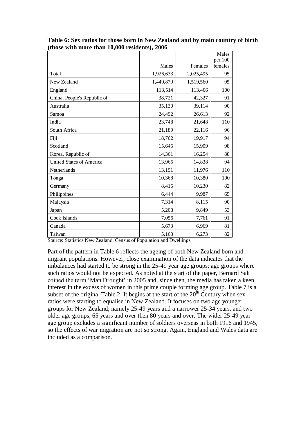|                                 |           |           | Males              |
|---------------------------------|-----------|-----------|--------------------|
|                                 | Males     | Females   | per 100<br>females |
| Total                           | 1,926,633 | 2,025,495 | 95                 |
| New Zealand                     | 1,449,879 | 1,519,560 | 95                 |
| England                         | 113,514   | 113,406   | 100                |
| China, People's Republic of     | 38,721    | 42,327    | 91                 |
| Australia                       | 35,130    | 39,114    | 90                 |
| Samoa                           | 24,492    | 26,613    | 92                 |
| India                           | 23,748    | 21,648    | 110                |
| South Africa                    | 21,189    | 22,116    | 96                 |
| Fiji                            | 18,762    | 19,917    | 94                 |
| Scotland                        | 15,645    | 15,909    | 98                 |
| Korea, Republic of              | 14,361    | 16,254    | 88                 |
| <b>United States of America</b> | 13,965    | 14,838    | 94                 |
| Netherlands                     | 13,191    | 11,976    | 110                |
| Tonga                           | 10,368    | 10,380    | 100                |
| Germany                         | 8,415     | 10,230    | 82                 |
| Philippines                     | 6,444     | 9,987     | 65                 |
| Malaysia                        | 7,314     | 8,115     | 90                 |
| Japan                           | 5,208     | 9,849     | 53                 |
| Cook Islands                    | 7,056     | 7,761     | 91                 |
| Canada                          | 5,673     | 6,969     | 81                 |
| Taiwan                          | 5,163     | 6,273     | 82                 |

| Table 6: Sex ratios for those born in New Zealand and by main country of birth |
|--------------------------------------------------------------------------------|
| (those with more than 10,000 residents), 2006                                  |

Source: Statistics New Zealand, Census of Population and Dwellings

Part of the pattern in Table 6 reflects the ageing of both New Zealand born and migrant populations. However, close examination of the data indicates that the imbalances had started to be strong in the 25-49 year age groups; age groups where such ratios would not be expected. As noted at the start of the paper, Bernard Salt coined the term 'Man Drought' in 2005 and, since then, the media has taken a keen interest in the excess of women in this prime couple forming age group. Table 7 is a subset of the original Table 2. It begins at the start of the  $20<sup>th</sup>$  Century when sex ratios were starting to equalise in New Zealand. It focuses on two age younger groups for New Zealand, namely 25-49 years and a narrower 25-34 years, and two older age groups, 65 years and over then 80 years and over. The wider 25-49 year age group excludes a significant number of soldiers overseas in both 1916 and 1945, so the effects of war migration are not so strong. Again, England and Wales data are included as a comparison.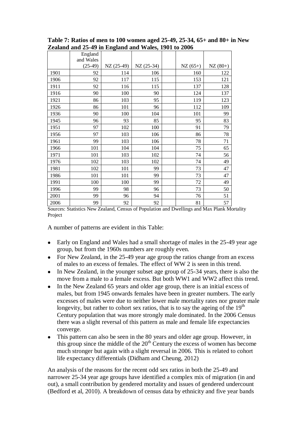|      | $\lambda$ and and $\lambda$ $\lambda$ -47 in England and Wales, 1901 to 2000 |            |             |           |           |
|------|------------------------------------------------------------------------------|------------|-------------|-----------|-----------|
|      | England<br>and Wales                                                         |            |             |           |           |
|      | $(25-49)$                                                                    | NZ (25-49) | $NZ(25-34)$ | $NZ(65+)$ | $NZ(80+)$ |
| 1901 | 92                                                                           | 114        | 106         | 160       | 122       |
| 1906 | 92                                                                           | 117        | 115         | 153       | 121       |
| 1911 | 92                                                                           | 116        | 115         | 137       | 128       |
| 1916 | 90                                                                           | 100        | 90          | 124       | 137       |
| 1921 | 86                                                                           | 103        | 95          | 119       | 123       |
| 1926 | 86                                                                           | 101        | 96          | 112       | 109       |
| 1936 | 90                                                                           | 100        | 104         | 101       | 99        |
| 1945 | 96                                                                           | 93         | 85          | 95        | 83        |
| 1951 | 97                                                                           | 102        | 100         | 91        | 79        |
| 1956 | 97                                                                           | 103        | 106         | 86        | 78        |
| 1961 | 99                                                                           | 103        | 106         | 78        | 71        |
| 1966 | 101                                                                          | 104        | 104         | 75        | 65        |
| 1971 | 101                                                                          | 103        | 102         | 74        | 56        |
| 1976 | 102                                                                          | 103        | 102         | 74        | 49        |
| 1981 | 102                                                                          | 101        | 99          | 73        | 47        |
| 1986 | 101                                                                          | 101        | 99          | 73        | 47        |
| 1991 | 100                                                                          | 100        | 99          | 72        | 49        |
| 1996 | 99                                                                           | 98         | 96          | 73        | 50        |
| 2001 | 99                                                                           | 96         | 94          | 76        | 51        |
| 2006 | 99                                                                           | 92         | 92          | 81        | 57        |

**Table 7: Ratios of men to 100 women aged 25-49, 25-34, 65+ and 80+ in New Zealand and 25-49 in England and Wales, 1901 to 2006**

Sources: Statistics New Zealand, Census of Population and Dwellings and Max Plank Mortality Project

A number of patterns are evident in this Table:

- $\bullet$ Early on England and Wales had a small shortage of males in the 25-49 year age group, but from the 1960s numbers are roughly even.
- $\bullet$ For New Zealand, in the 25-49 year age group the ratios change from an excess of males to an excess of females. The effect of WW 2 is seen in this trend.
- In New Zealand, in the younger subset age group of 25-34 years, there is also the  $\bullet$ move from a male to a female excess. But both WW1 and WW2 affect this trend.
- In the New Zealand 65 years and older age group, there is an initial excess of  $\bullet$ males, but from 1945 onwards females have been in greater numbers. The early excesses of males were due to neither lower male mortality rates nor greater male longevity, but rather to cohort sex ratios, that is to say the ageing of the  $19<sup>th</sup>$ Century population that was more strongly male dominated. In the 2006 Census there was a slight reversal of this pattern as male and female life expectancies converge.
- This pattern can also be seen in the 80 years and older age group. However, in this group since the middle of the  $20<sup>th</sup>$  Century the excess of women has become much stronger but again with a slight reversal in 2006. This is related to cohort life expectancy differentials (Didham and Cheung, 2012)

An analysis of the reasons for the recent odd sex ratios in both the 25-49 and narrower 25-34 year age groups have identified a complex mix of migration (in and out), a small contribution by gendered mortality and issues of gendered undercount (Bedford et al, 2010). A breakdown of census data by ethnicity and five year bands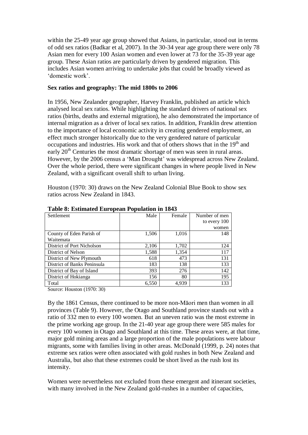within the 25-49 year age group showed that Asians, in particular, stood out in terms of odd sex ratios (Badkar et al, 2007). In the 30-34 year age group there were only 78 Asian men for every 100 Asian women and even lower at 73 for the 35-39 year age group. These Asian ratios are particularly driven by gendered migration. This includes Asian women arriving to undertake jobs that could be broadly viewed as 'domestic work'.

# **Sex ratios and geography: The mid 1800s to 2006**

In 1956, New Zealander geographer, Harvey Franklin, published an article which analysed local sex ratios. While highlighting the standard drivers of national sex ratios (births, deaths and external migration), he also demonstrated the importance of internal migration as a driver of local sex ratios. In addition, Franklin drew attention to the importance of local economic activity in creating gendered employment, an effect much stronger historically due to the very gendered nature of particular occupations and industries. His work and that of others shows that in the  $19<sup>th</sup>$  and early  $20<sup>th</sup>$  Centuries the most dramatic shortage of men was seen in rural areas. However, by the 2006 census a 'Man Drought' was widespread across New Zealand. Over the whole period, there were significant changes in where people lived in New Zealand, with a significant overall shift to urban living.

Houston (1970: 30) draws on the New Zealand Colonial Blue Book to show sex ratios across New Zealand in 1843.

| Settlement                  | Male  | Female | Number of men |
|-----------------------------|-------|--------|---------------|
|                             |       |        | to every 100  |
|                             |       |        | women         |
| County of Eden Parish of    | 1,506 | 1,016  | 148           |
| Waitemata                   |       |        |               |
| District of Port Nicholson  | 2,106 | 1,702  | 124           |
| District of Nelson          | 1,588 | 1,354  | 117           |
| District of New Plymouth    | 618   | 473    | 131           |
| District of Banks Peninsula | 183   | 138    | 133           |
| District of Bay of Island   | 393   | 276    | 142           |
| District of Hokianga        | 156   | 80     | 195           |
| Total                       | 6,550 | 4,939  | 133           |

**Table 8: Estimated European Population in 1843**

Source: Houston (1970: 30)

By the 1861 Census, there continued to be more non-Māori men than women in all provinces (Table 9). However, the Otago and Southland province stands out with a ratio of 332 men to every 100 women. But an uneven ratio was the most extreme in the prime working age group. In the 21-40 year age group there were 585 males for every 100 women in Otago and Southland at this time. These areas were, at that time, major gold mining areas and a large proportion of the male populations were labour migrants, some with families living in other areas. McDonald (1999, p. 24) notes that extreme sex ratios were often associated with gold rushes in both New Zealand and Australia, but also that these extremes could be short lived as the rush lost its intensity.

Women were nevertheless not excluded from these emergent and itinerant societies, with many involved in the New Zealand gold-rushes in a number of capacities,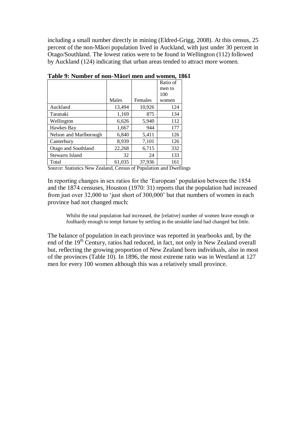including a small number directly in mining (Eldred-Grigg, 2008). At this census, 25 percent of the non-Māori population lived in Auckland, with just under 30 percent in Otago/Southland. The lowest ratios were to be found in Wellington (112) followed by Auckland (124) indicating that urban areas tended to attract more women.

|                        |        |         | Ratio of |
|------------------------|--------|---------|----------|
|                        |        |         | men to   |
|                        |        |         | 100      |
|                        | Males  | Females | women    |
| Auckland               | 13,494 | 10,926  | 124      |
| Taranaki               | 1,169  | 875     | 134      |
| Wellington             | 6,626  | 5,940   | 112      |
| Hawkes Bay             | 1,667  | 944     | 177      |
| Nelson and Marlborough | 6,840  | 5,411   | 126      |
| Canterbury             | 8,939  | 7,101   | 126      |
| Otago and Southland    | 22,268 | 6,715   | 332      |
| <b>Stewarts Island</b> | 32     | 24      | 133      |
| Total                  | 61.035 | 37.936  | 161      |

**Table 9: Number of non-Māori men and women, 1861**

Source: Statistics New Zealand, Census of Population and Dwellings

In reporting changes in sex ratios for the 'European' population between the 1854 and the 1874 censuses, Houston (1970: 31) reports that the population had increased from just over 32,000 to 'just short of 300,000' but that numbers of women in each province had not changed much:

Whilst the total population had increased, the [relative] number of women brave enough or foolhardy enough to tempt fortune by settling in the unstable land had changed but little.

The balance of population in each province was reported in yearbooks and, by the end of the 19<sup>th</sup> Century, ratios had reduced, in fact, not only in New Zealand overall but, reflecting the growing proportion of New Zealand born individuals, also in most of the provinces (Table 10). In 1896, the most extreme ratio was in Westland at 127 men for every 100 women although this was a relatively small province.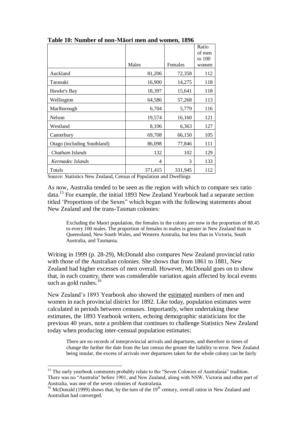|                             |         |         | Ratio  |
|-----------------------------|---------|---------|--------|
|                             |         |         | of men |
|                             |         |         | to 100 |
|                             | Males   | Females | women  |
| Auckland                    | 81,206  | 72,358  | 112    |
| Taranaki                    | 16,900  | 14,275  | 118    |
| Hawke's Bay                 | 18,397  | 15,641  | 118    |
| Wellington                  | 64,586  | 57,268  | 113    |
| Marlborough                 | 6,704   | 5,779   | 116    |
| Nelson                      | 19,574  | 16,160  | 121    |
| Westland                    | 8,106   | 6,363   | 127    |
| Canterbury                  | 69,708  | 66,150  | 105    |
| Otago (including Southland) | 86,098  | 77,846  | 111    |
| Chatham Islands             | 132     | 102     | 129    |
| Kermadec Islands            | 4       | 3       | 133    |
| Totals                      | 371,415 | 331,945 | 112    |

**Table 10: Number of non-Māori men and women, 1896**

Source: Statistics New Zealand, Census of Population and Dwellings

As now, Australia tended to be seen as the region with which to compare sex ratio data.<sup>15</sup> For example, the initial 1893 New Zealand Yearbook had a separate section titled 'Proportions of the Sexes" which began with the following statements about New Zealand and the trans-Tasman colonies:

Excluding the Maori population, the females in the colony are now in the proportion of 88.45 to every 100 males. The proportion of females to males is greater in New Zealand than in Queensland, New South Wales, and Western Australia, but less than in Victoria, South Australia, and Tasmania.

Writing in 1999 (p. 28-29), McDonald also compares New Zealand provincial ratio with those of the Australian colonies. She shows that from 1861 to 1881, New Zealand had higher excesses of men overall. However, McDonald goes on to show that, in each country, there was considerable variation again affected by local events such as gold rushes.<sup>16</sup>

New Zealand's 1893 Yearbook also showed the estimated numbers of men and women in each provincial district for 1892. Like today, population estimates were calculated in periods between censuses. Importantly, when undertaking these estimates, the 1893 Yearbook writers, echoing demographic statisticians for the previous 40 years, note a problem that continues to challenge Statistics New Zealand today when producing inter-censual population estimates:

There are no records of interprovincial arrivals and departures, and therefore in times of change the further the date from the last census the greater the liability to error. New Zealand being insular, the excess of arrivals over departures taken for the whole colony can be fairly

 $\overline{a}$ 

<sup>&</sup>lt;sup>15</sup> The early yearbook comments probably relate to the "Seven Colonies of Australasia" tradition. There was no "Australia" before 1901, and New Zealand, along with NSW, Victoria and other part of Australia, was one of the seven colonies of Australasia.

<sup>&</sup>lt;sup>16</sup> McDonald (1999) shows that, by the turn of the  $19<sup>th</sup>$  century, overall ratios in New Zealand and Australian had converged.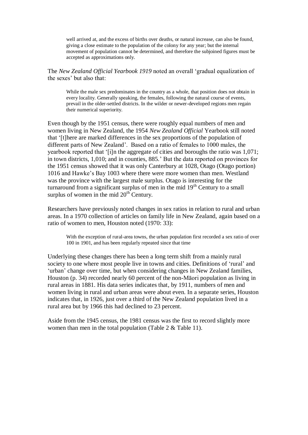well arrived at, and the excess of births over deaths, or natural increase, can also be found. giving a close estimate to the population of the colony for any year; but the internal movement of population cannot be determined, and therefore the subjoined figures must be accepted as approximations only.

The *New Zealand Official Yearbook 1919* noted an overall 'gradual equalization of the sexes' but also that:

While the male sex predominates in the country as a whole, that position does not obtain in every locality. Generally speaking, the females, following the natural course of events, prevail in the older-settled districts. In the wilder or newer-developed regions men regain their numerical superiority.

Even though by the 1951 census, there were roughly equal numbers of men and women living in New Zealand, the 1954 *New Zealand Official* Yearbook still noted that '[t]here are marked differences in the sex proportions of the population of different parts of New Zealand'. Based on a ratio of females to 1000 males, the yearbook reported that '[i]n the aggregate of cities and boroughs the ratio was 1,071; in town districts, 1,010; and in counties, 885.' But the data reported on provinces for the 1951 census showed that it was only Canterbury at 1028, Otago (Otago portion) 1016 and Hawke's Bay 1003 where there were more women than men. Westland was the province with the largest male surplus. Otago is interesting for the turnaround from a significant surplus of men in the mid  $19<sup>th</sup>$  Century to a small surplus of women in the mid  $20<sup>th</sup>$  Century.

Researchers have previously noted changes in sex ratios in relation to rural and urban areas. In a 1970 collection of articles on family life in New Zealand, again based on a ratio of women to men, Houston noted (1970: 33):

With the exception of rural-area towns, the urban population first recorded a sex ratio of over 100 in 1901, and has been regularly repeated since that time

Underlying these changes there has been a long term shift from a mainly rural society to one where most people live in towns and cities. Definitions of 'rural' and 'urban' change over time, but when considering changes in New Zealand families, Houston (p. 34) recorded nearly 60 percent of the non-Māori population as living in rural areas in 1881. His data series indicates that, by 1911, numbers of men and women living in rural and urban areas were about even. In a separate series, Houston indicates that, in 1926, just over a third of the New Zealand population lived in a rural area but by 1966 this had declined to 23 percent.

Aside from the 1945 census, the 1981 census was the first to record slightly more women than men in the total population (Table 2 & Table 11).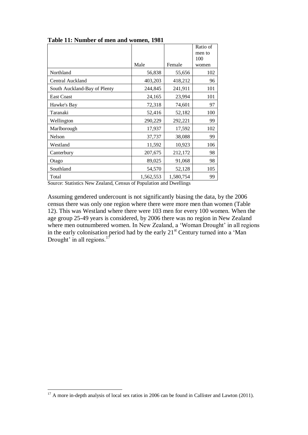|                              |           |           | Ratio of |
|------------------------------|-----------|-----------|----------|
|                              |           |           | men to   |
|                              |           |           | 100      |
|                              | Male      | Female    | women    |
| Northland                    | 56,838    | 55,656    | 102      |
| Central Auckland             | 403,203   | 418,212   | 96       |
| South Auckland-Bay of Plenty | 244,845   | 241,911   | 101      |
| <b>East Coast</b>            | 24,165    | 23,994    | 101      |
| Hawke's Bay                  | 72,318    | 74,601    | 97       |
| Taranaki                     | 52,416    | 52,182    | 100      |
| Wellington                   | 290,229   | 292,221   | 99       |
| Marlborough                  | 17,937    | 17,592    | 102      |
| Nelson                       | 37,737    | 38,088    | 99       |
| Westland                     | 11,592    | 10,923    | 106      |
| Canterbury                   | 207,675   | 212,172   | 98       |
| Otago                        | 89,025    | 91,068    | 98       |
| Southland                    | 54,570    | 52,128    | 105      |
| Total                        | 1,562,553 | 1,580,754 | 99       |

**Table 11: Number of men and women, 1981**

Source: Statistics New Zealand, Census of Population and Dwellings

Assuming gendered undercount is not significantly biasing the data, by the 2006 census there was only one region where there were more men than women (Table 12). This was Westland where there were 103 men for every 100 women. When the age group 25-49 years is considered, by 2006 there was no region in New Zealand where men outnumbered women. In New Zealand, a 'Woman Drought' in all regions in the early colonisation period had by the early  $21<sup>st</sup>$  Century turned into a 'Man Drought' in all regions. $^{17}$ 

 $\overline{a}$ 

 $17$  A more in-depth analysis of local sex ratios in 2006 can be found in Callister and Lawton (2011).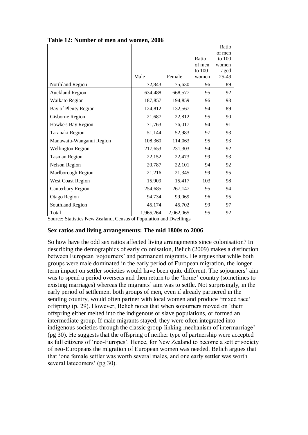|                          |           |           |                  | Ratio         |
|--------------------------|-----------|-----------|------------------|---------------|
|                          |           |           |                  | of men        |
|                          |           |           | Ratio            | to 100        |
|                          |           |           | of men<br>to 100 | women         |
|                          | Male      | Female    | women            | aged<br>25-49 |
| Northland Region         | 72,843    | 75,630    | 96               | 89            |
| <b>Auckland Region</b>   | 634,488   | 668,577   | 95               | 92            |
| Waikato Region           | 187,857   | 194,859   | 96               | 93            |
| Bay of Plenty Region     | 124,812   | 132,567   | 94               | 89            |
| Gisborne Region          | 21,687    | 22,812    | 95               | 90            |
| Hawke's Bay Region       | 71,763    | 76,017    | 94               | 91            |
| Taranaki Region          | 51,144    | 52,983    | 97               | 93            |
| Manawatu-Wanganui Region | 108,360   | 114,063   | 95               | 93            |
| <b>Wellington Region</b> | 217,653   | 231,303   | 94               | 92            |
| <b>Tasman Region</b>     | 22,152    | 22,473    | 99               | 93            |
| Nelson Region            | 20,787    | 22,101    | 94               | 92            |
| Marlborough Region       | 21,216    | 21,345    | 99               | 95            |
| <b>West Coast Region</b> | 15,909    | 15,417    | 103              | 98            |
| Canterbury Region        | 254,685   | 267,147   | 95               | 94            |
| Otago Region             | 94,734    | 99,069    | 96               | 95            |
| Southland Region         | 45,174    | 45,702    | 99               | 97            |
| Total                    | 1,965,264 | 2,062,065 | 95               | 92            |

**Table 12: Number of men and women, 2006**

Source: Statistics New Zealand, Census of Population and Dwellings

### **Sex ratios and living arrangements: The mid 1800s to 2006**

So how have the odd sex ratios affected living arrangements since colonisation? In describing the demographics of early colonisation, Belich (2009) makes a distinction between European 'sojourners' and permanent migrants. He argues that while both groups were male dominated in the early period of European migration, the longer term impact on settler societies would have been quite different. The sojourners' aim was to spend a period overseas and then return to the 'home' country (sometimes to existing marriages) whereas the migrants' aim was to settle. Not surprisingly, in the early period of settlement both groups of men, even if already partnered in the sending country, would often partner with local women and produce 'mixed race' offspring (p. 29). However, Belich notes that when sojourners moved on 'their offspring either melted into the indigenous or slave populations, or formed an intermediate group. If male migrants stayed, they were often integrated into indigenous societies through the classic group-linking mechanism of intermarriage' (pg 30). He suggests that the offspring of neither type of partnership were accepted as full citizens of 'neo-Europes'. Hence, for New Zealand to become a settler society of neo-Europeans the migration of European women was needed. Belich argues that that 'one female settler was worth several males, and one early settler was worth several latecomers' (pg 30).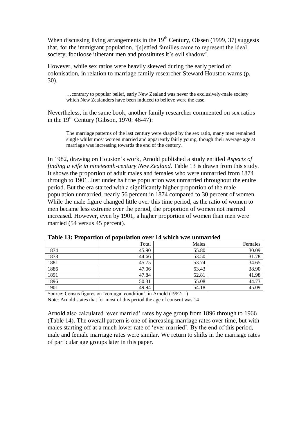When discussing living arrangements in the  $19<sup>th</sup>$  Century, Olssen (1999, 37) suggests that, for the immigrant population, '[s]ettled families came to represent the ideal society; footloose itinerant men and prostitutes it's evil shadow'.

However, while sex ratios were heavily skewed during the early period of colonisation, in relation to marriage family researcher Steward Houston warns (p. 30).

…contrary to popular belief, early New Zealand was never the exclusively-male society which New Zealanders have been induced to believe were the case.

Nevertheless, in the same book, another family researcher commented on sex ratios in the  $19<sup>th</sup>$  Century (Gibson, 1970: 46-47):

The marriage patterns of the last century were shaped by the sex ratio, many men remained single whilst most women married and apparently fairly young, though their average age at marriage was increasing towards the end of the century.

In 1982, drawing on Houston's work, Arnold published a study entitled *Aspects of finding a wife in nineteenth-century New Zealand.* Table 13 is drawn from this study. It shows the proportion of adult males and females who were unmarried from 1874 through to 1901. Just under half the population was unmarried throughout the entire period. But the era started with a significantly higher proportion of the male population unmarried, nearly 56 percent in 1874 compared to 30 percent of women. While the male figure changed little over this time period, as the ratio of women to men became less extreme over the period, the proportion of women not married increased. However, even by 1901, a higher proportion of women than men were married (54 versus 45 percent).

|      | Total | Males | Females |
|------|-------|-------|---------|
| 1874 | 45.90 | 55.80 | 30.09   |
| 1878 | 44.66 | 53.50 | 31.78   |
| 1881 | 45.75 | 53.74 | 34.65   |
| 1886 | 47.06 | 53.43 | 38.90   |
| 1891 | 47.84 | 52.81 | 41.98   |
| 1896 | 50.31 | 55.08 | 44.73   |
| 1901 | 49.94 | 54.18 | 45.09   |

**Table 13: Proportion of population over 14 which was unmarried**

Source: Census figures on 'conjugal condition', in Arnold (1982: 1) Note: Arnold states that for most of this period the age of consent was 14

Arnold also calculated 'ever married' rates by age group from 1896 through to 1966 (Table 14). The overall pattern is one of increasing marriage rates over time, but with males starting off at a much lower rate of 'ever married'. By the end of this period, male and female marriage rates were similar. We return to shifts in the marriage rates of particular age groups later in this paper.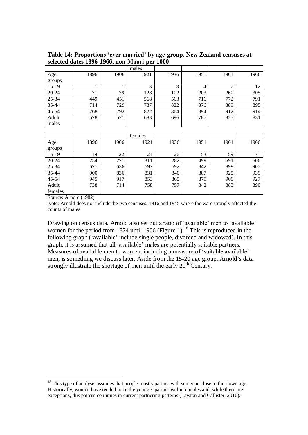|           |      |      | males |      |      |      |      |
|-----------|------|------|-------|------|------|------|------|
| Age       | 1896 | 1906 | 1921  | 1936 | 1951 | 1961 | 1966 |
| groups    |      |      |       |      |      |      |      |
| $15-19$   |      |      | 3     | 3    | 4    | ⇁    | 12   |
| $20 - 24$ | 71   | 79   | 128   | 102  | 203  | 260  | 305  |
| 25-34     | 449  | 451  | 568   | 563  | 716  | 772  | 791  |
| 35-44     | 714  | 729  | 787   | 822  | 876  | 889  | 895  |
| 45-54     | 768  | 792  | 822   | 864  | 894  | 912  | 914  |
| Adult     | 578  | 571  | 683   | 696  | 787  | 825  | 831  |
| males     |      |      |       |      |      |      |      |

**Table 14: Proportions 'ever married' by age-group, New Zealand censuses at selected dates 1896-1966, non-Māori-per 1000**

|         |      |      | females |      |      |      |      |
|---------|------|------|---------|------|------|------|------|
| Age     | 1896 | 1906 | 1921    | 1936 | 1951 | 1961 | 1966 |
| groups  |      |      |         |      |      |      |      |
| $15-19$ | 19   | 22   | 21      | 26   | 53   | 59   | 71   |
| 20-24   | 254  | 271  | 311     | 282  | 499  | 591  | 606  |
| 25-34   | 677  | 636  | 697     | 692  | 842  | 899  | 905  |
| 35-44   | 900  | 836  | 831     | 840  | 887  | 925  | 939  |
| 45-54   | 945  | 917  | 853     | 865  | 879  | 909  | 927  |
| Adult   | 738  | 714  | 758     | 757  | 842  | 883  | 890  |
| females |      |      |         |      |      |      |      |

Source: Arnold (1982)

 $\overline{a}$ 

Note: Arnold does not include the two censuses, 1916 and 1945 where the wars strongly affected the counts of males

Drawing on census data, Arnold also set out a ratio of 'available' men to 'available' women for the period from 1874 until 1906 (Figure 1).<sup>18</sup> This is reproduced in the following graph ('available' include single people, divorced and widowed). In this graph, it is assumed that all 'available' males are potentially suitable partners. Measures of available men to women, including a measure of 'suitable available' men, is something we discuss later. Aside from the 15-20 age group, Arnold's data strongly illustrate the shortage of men until the early  $20<sup>th</sup>$  Century.

<sup>&</sup>lt;sup>18</sup> This type of analysis assumes that people mostly partner with someone close to their own age. Historically, women have tended to be the younger partner within couples and, while there are exceptions, this pattern continues in current partnering patterns (Lawton and Callister, 2010).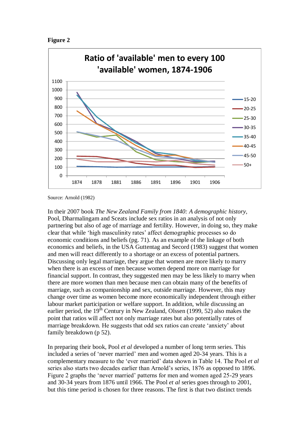



Source: Arnold (1982)

In their 2007 book *The New Zealand Family from 1840: A demographic history,* Pool, Dharmalingam and Sceats include sex ratios in an analysis of not only partnering but also of age of marriage and fertility. However, in doing so, they make clear that while 'high masculinity rates' affect demographic processes so do economic conditions and beliefs (pg. 71). As an example of the linkage of both economics and beliefs, in the USA Guttentag and Secord (1983) suggest that women and men will react differently to a shortage or an excess of potential partners. Discussing only legal marriage, they argue that women are more likely to marry when there is an excess of men because women depend more on marriage for financial support. In contrast, they suggested men may be less likely to marry when there are more women than men because men can obtain many of the benefits of marriage, such as companionship and sex, outside marriage. However, this may change over time as women become more economically independent through either labour market participation or welfare support. In addition, while discussing an earlier period, the  $19<sup>th</sup>$  Century in New Zealand, Olssen (1999, 52) also makes the point that ratios will affect not only marriage rates but also potentially rates of marriage breakdown. He suggests that odd sex ratios can create 'anxiety' about family breakdown (p 52).

In preparing their book, Pool *et al* developed a number of long term series. This included a series of 'never married' men and women aged 20-34 years. This is a complementary measure to the 'ever married' data shown in Table 14. The Pool *et al* series also starts two decades earlier than Arnold's series, 1876 as opposed to 1896. Figure 2 graphs the 'never married' patterns for men and women aged 25-29 years and 30-34 years from 1876 until 1966. The Pool *et al* series goes through to 2001, but this time period is chosen for three reasons. The first is that two distinct trends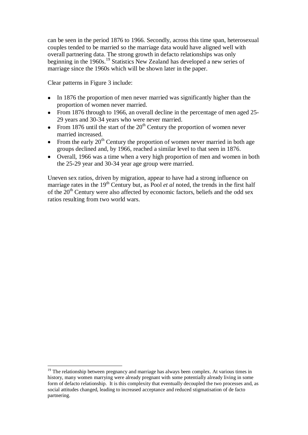can be seen in the period 1876 to 1966. Secondly, across this time span, heterosexual couples tended to be married so the marriage data would have aligned well with overall partnering data. The strong growth in defacto relationships was only beginning in the 1960s.<sup>19</sup> Statistics New Zealand has developed a new series of marriage since the 1960s which will be shown later in the paper.

Clear patterns in Figure 3 include:

- In 1876 the proportion of men never married was significantly higher than the  $\bullet$ proportion of women never married.
- From 1876 through to 1966, an overall decline in the percentage of men aged 25-  $\bullet$ 29 years and 30-34 years who were never married.
- From 1876 until the start of the  $20<sup>th</sup>$  Century the proportion of women never  $\bullet$ married increased.
- From the early  $20<sup>th</sup>$  Century the proportion of women never married in both age  $\bullet$ groups declined and, by 1966, reached a similar level to that seen in 1876.
- Overall, 1966 was a time when a very high proportion of men and women in both the 25-29 year and 30-34 year age group were married.

Uneven sex ratios, driven by migration, appear to have had a strong influence on marriage rates in the 19<sup>th</sup> Century but, as Pool *et al* noted, the trends in the first half of the  $20<sup>th</sup>$  Century were also affected by economic factors, beliefs and the odd sex ratios resulting from two world wars.

 $\overline{a}$  $19$  The relationship between pregnancy and marriage has always been complex. At various times in history, many women marrying were already pregnant with some potentially already living in some form of defacto relationship. It is this complexity that eventually decoupled the two processes and, as social attitudes changed, leading to increased acceptance and reduced stigmatisation of de facto partnering.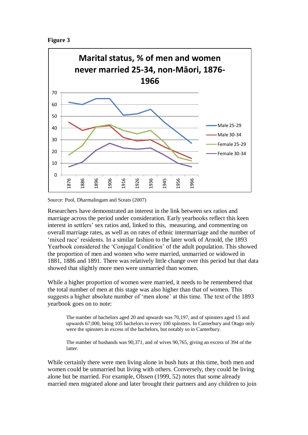



Source: Pool, Dharmalingam and Sceats (2007)

Researchers have demonstrated an interest in the link between sex ratios and marriage across the period under consideration. Early yearbooks reflect this keen interest in settlers' sex ratios and, linked to this, measuring, and commenting on overall marriage rates, as well as on rates of ethnic intermarriage and the number of 'mixed race' residents. In a similar fashion to the later work of Arnold, the 1893 Yearbook considered the 'Conjugal Condition' of the adult population. This showed the proportion of men and women who were married, unmarried or widowed in 1881, 1886 and 1891. There was relatively little change over this period but that data showed that slightly more men were unmarried than women.

While a higher proportion of women were married, it needs to be remembered that the total number of men at this stage was also higher than that of women. This suggests a higher absolute number of 'men alone' at this time. The text of the 1893 yearbook goes on to note:

The number of bachelors aged 20 and upwards was 70,197, and of spinsters aged 15 and upwards 67,000, being 105 bachelors to every 100 spinsters. In Canterbury and Otago only were the spinsters in excess of the bachelors, but notably so in Canterbury.

The number of husbands was 90,371, and of wives 90,765, giving an excess of 394 of the latter.

While certainly there were men living alone in bush huts at this time, both men and women could be unmarried but living with others. Conversely, they could be living alone but be married. For example, Olssen (1999, 52) notes that some already married men migrated alone and later brought their partners and any children to join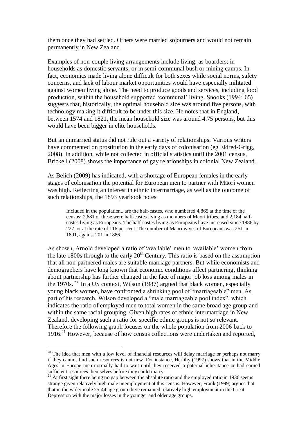them once they had settled. Others were married sojourners and would not remain permanently in New Zealand.

Examples of non-couple living arrangements include living: as boarders; in households as domestic servants; or in semi-communal bush or mining camps. In fact, economics made living alone difficult for both sexes while social norms, safety concerns, and lack of labour market opportunities would have especially militated against women living alone. The need to produce goods and services, including food production, within the household supported 'communal' living. Snooks (1994: 65) suggests that, historically, the optimal household size was around five persons, with technology making it difficult to be under this size. He notes that in England, between 1574 and 1821, the mean household size was around 4.75 persons, but this would have been bigger in elite households.

But an unmarried status did not rule out a variety of relationships. Various writers have commented on prostitution in the early days of colonisation (eg Eldred-Grigg, 2008). In addition, while not collected in official statistics until the 2001 census, Brickell (2008) shows the importance of gay relationships in colonial New Zealand.

As Belich (2009) has indicated, with a shortage of European females in the early stages of colonisation the potential for European men to partner with Māori women was high. Reflecting an interest in ethnic intermarriage, as well as the outcome of such relationships, the 1893 yearbook notes

Included in the population...are the half-castes, who numbered 4,865 at the time of the census; 2,681 of these were half-castes living as members of Maori tribes, and 2,184 halfcastes living as Europeans. The half-castes living as Europeans have increased since 1886 by 227, or at the rate of 116 per cent. The number of Maori wives of Europeans was 251 in 1891, against 201 in 1886.

As shown, Arnold developed a ratio of 'available' men to 'available' women from the late  $1800s$  through to the early  $20<sup>th</sup>$  Century. This ratio is based on the assumption that all non-partnered males are suitable marriage partners. But while economists and demographers have long known that economic conditions affect partnering, thinking about partnership has further changed in the face of major job loss among males in the 1970s.<sup>20</sup> In a US context, Wilson (1987) argued that black women, especially young black women, have confronted a shrinking pool of "marriageable" men. As part of his research, Wilson developed a "male marriageable pool index", which indicates the ratio of employed men to total women in the same broad age group and within the same racial grouping. Given high rates of ethnic intermarriage in New Zealand, developing such a ratio for specific ethnic groups is not so relevant. Therefore the following graph focuses on the whole population from 2006 back to 1916. <sup>21</sup> However, because of how census collections were undertaken and reported,

 $\overline{a}$ 

 $20$  The idea that men with a low level of financial resources will delay marriage or perhaps not marry if they cannot find such resources is not new. For instance, Herlihy (1997) shows that in the Middle Ages in Europe men normally had to wait until they received a paternal inheritance or had earned sufficient resources themselves before they could marry.

 $21$  At first sight there being no gap between the absolute ratio and the employed ratio in 1936 seems strange given relatively high male unemployment at this census. However, Frank (1999) argues that that in the wider male 25-44 age group there remained relatively high employment in the Great Depression with the major losses in the younger and older age groups.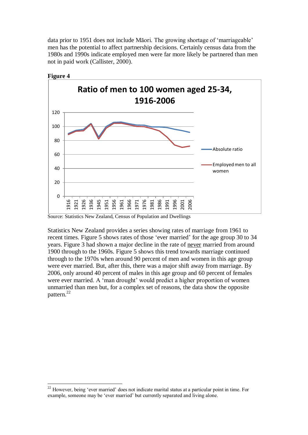data prior to 1951 does not include Māori. The growing shortage of 'marriageable' men has the potential to affect partnership decisions. Certainly census data from the 1980s and 1990s indicate employed men were far more likely be partnered than men not in paid work (Callister, 2000).



**Figure 4**

 $\overline{a}$ 

Source: Statistics New Zealand, Census of Population and Dwellings

Statistics New Zealand provides a series showing rates of marriage from 1961 to recent times. Figure 5 shows rates of those 'ever married' for the age group 30 to 34 years. Figure 3 had shown a major decline in the rate of never married from around 1900 through to the 1960s. Figure 5 shows this trend towards marriage continued through to the 1970s when around 90 percent of men and women in this age group were ever married. But, after this, there was a major shift away from marriage. By 2006, only around 40 percent of males in this age group and 60 percent of females were ever married. A 'man drought' would predict a higher proportion of women unmarried than men but, for a complex set of reasons, the data show the opposite pattern.<sup>22</sup>

<sup>&</sup>lt;sup>22</sup> However, being 'ever married' does not indicate marital status at a particular point in time. For example, someone may be 'ever married' but currently separated and living alone.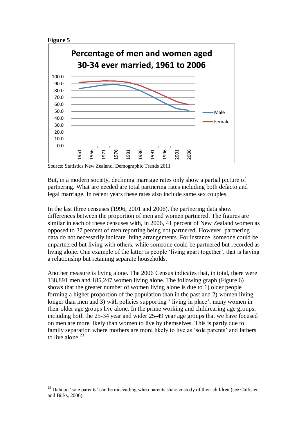

 $\overline{a}$ 



Source: Statistics New Zealand, Demographic Trends 2011

But, in a modern society, declining marriage rates only show a partial picture of partnering. What are needed are total partnering rates including both defacto and legal marriage. In recent years these rates also include same sex couples.

In the last three censuses (1996, 2001 and 2006), the partnering data show differences between the proportion of men and women partnered. The figures are similar in each of these censuses with, in 2006, 41 percent of New Zealand women as opposed to 37 percent of men reporting being not partnered. However, partnering data do not necessarily indicate living arrangements. For instance, someone could be unpartnered but living with others, while someone could be partnered but recorded as living alone. One example of the latter is people 'living apart together', that is having a relationship but retaining separate households.

Another measure is living alone. The 2006 Census indicates that, in total, there were 138,891 men and 185,247 women living alone. The following graph (Figure 6) shows that the greater number of women living alone is due to 1) older people forming a higher proportion of the population than in the past and 2) women living longer than men and 3) with policies supporting 'living in place', many women in their older age groups live alone. In the prime working and childrearing age groups, including both the 25-34 year and wider 25-49 year age groups that we have focused on men are more likely than women to live by themselves. This is partly due to family separation where mothers are more likely to live as 'sole parents' and fathers to live alone. $23$ 

<sup>&</sup>lt;sup>23</sup> Data on 'sole parents' can be misleading when parents share custody of their children (see Callister and Birks, 2006).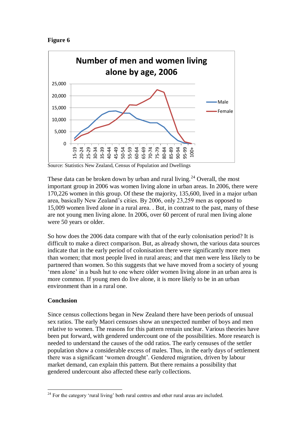



Source: Statistics New Zealand, Census of Population and Dwellings

These data can be broken down by urban and rural living.<sup>24</sup> Overall, the most important group in 2006 was women living alone in urban areas. In 2006, there were 170,226 women in this group. Of these the majority, 135,600, lived in a major urban area, basically New Zealand's cities. By 2006, only 23,259 men as opposed to 15,009 women lived alone in a rural area. . But, in contrast to the past, many of these are not young men living alone. In 2006, over 60 percent of rural men living alone were 50 years or older.

So how does the 2006 data compare with that of the early colonisation period? It is difficult to make a direct comparison. But, as already shown, the various data sources indicate that in the early period of colonisation there were significantly more men than women; that most people lived in rural areas; and that men were less likely to be partnered than women. So this suggests that we have moved from a society of young 'men alone' in a bush hut to one where older women living alone in an urban area is more common. If young men do live alone, it is more likely to be in an urban environment than in a rural one.

### **Conclusion**

Since census collections began in New Zealand there have been periods of unusual sex ratios. The early Maori censuses show an unexpected number of boys and men relative to women. The reasons for this pattern remain unclear. Various theories have been put forward, with gendered undercount one of the possibilities. More research is needed to understand the causes of the odd ratios. The early censuses of the settler population show a considerable excess of males. Thus, in the early days of settlement there was a significant 'women drought'. Gendered migration, driven by labour market demand, can explain this pattern. But there remains a possibility that gendered undercount also affected these early collections.

 $\overline{a}$  $24$  For the category 'rural living' both rural centres and other rural areas are included.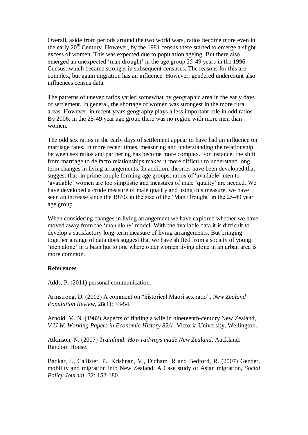Overall, aside from periods around the two world wars, ratios become more even in the early 20<sup>th</sup> Century. However, by the 1981 census there started to emerge a slight excess of women. This was expected due to population ageing. But there also emerged an unexpected 'man drought' in the age group 25-49 years in the 1996 Census, which became stronger in subsequent censuses. The reasons for this are complex, but again migration has an influence. However, gendered undercount also influences census data.

The patterns of uneven ratios varied somewhat by geographic area in the early days of settlement. In general, the shortage of women was strongest in the more rural areas. However, in recent years geography plays a less important role in odd ratios. By 2006, in the 25-49 year age group there was no region with more men than women.

The odd sex ratios in the early days of settlement appear to have had an influence on marriage rates. In more recent times, measuring and understanding the relationship between sex ratios and partnering has become more complex. For instance, the shift from marriage to de facto relationships makes it more difficult to understand long term changes in living arrangements. In addition, theories have been developed that suggest that, in prime couple forming age groups, ratios of 'available' men to 'available' women are too simplistic and measures of male 'quality' are needed. We have developed a crude measure of male quality and using this measure, we have seen an increase since the 1970s in the size of the 'Man Drought' in the 25-49 year age group.

When considering changes in living arrangement we have explored whether we have moved away from the 'man alone' model. With the available data it is difficult to develop a satisfactory long-term measure of living arrangements. But bringing together a range of data does suggest that we have shifted from a society of young 'men alone' in a bush hut to one where older women living alone in an urban area is more common.

#### **References**

Adds, P. (2011) personal communication.

Armstrong, D. (2002) A comment on "historical Maori sex ratio", *New Zealand Population Review*, 28(1): 33-54.

Arnold, M. N. (1982) Aspects of finding a wife in nineteenth-century New Zealand, *V.U.W. Working Papers in Economic History 82/1,* Victoria University, Wellington.

Atkinson, N. (2007) *Trainland: How railways made New Zealand*, Auckland: Random House.

Badkar, J., Callister, P., Krishnan, V., Didham, R and Bedford, R. (2007) Gender, mobility and migration into New Zealand: A Case study of Asian migration, *Social Policy Journal,* 32: 152-180.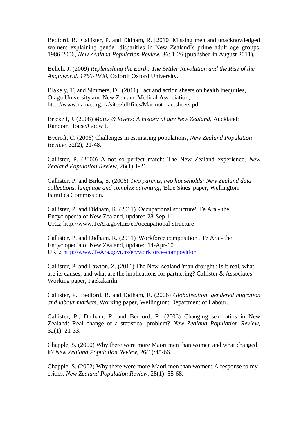Bedford, R., Callister, P. and Didham, R. [2010] Missing men and unacknowledged women: explaining gender disparities in New Zealand's prime adult age groups, 1986-2006, *New Zealand Population Review,* 36: 1-26 (published in August 2011).

Belich, J. (2009) *Replenishing the Earth: The Settler Revolution and the Rise of the Angloworld*, *1780-1930*, Oxford: Oxford University.

Blakely, T. and Simmers, D. (2011) Fact and action sheets on health inequities, Otago University and New Zealand Medical Association, http://www.nzma.org.nz/sites/all/files/Marmot\_factsheets.pdf

Brickell, J. (2008) *Mates & lovers: A history of gay New Zealand*, Auckland: Random House/Godwit.

Bycroft, C. (2006) Challenges in estimating populations, *New Zealand Population Review,* 32(2), 21-48.

Callister, P. (2000) A not so perfect match: The New Zealand experience, *New Zealand Population Review,* 26(1):1-21.

Callister, P. and Birks, S. (2006) *Two parents, two households: New Zealand data collections, language and complex parenting*, 'Blue Skies' paper, Wellington: Families Commission.

Callister, P. and Didham, R. (2011) 'Occupational structure', Te Ara - the Encyclopedia of New Zealand, updated 28-Sep-11 URL: http://www.TeAra.govt.nz/en/occupational-structure

Callister, P. and Didham, R. (2011) 'Workforce composition', Te Ara - the Encyclopedia of New Zealand, updated 14-Apr-10 URL: [http://www.TeAra.govt.nz/en/workforce-composition](http://www.teara.govt.nz/en/workforce-composition)

Callister, P. and Lawton, Z. (2011) The New Zealand 'man drought': Is it real, what are its causes, and what are the implications for partnering? Callister & Associates Working paper, Paekakariki.

Callister, P., Bedford, R. and Didham, R. (2006) *Globalisation, gendered migration and labour markets*, Working paper, Wellington: Department of Labour.

Callister, P., Didham, R. and Bedford, R. (2006) Changing sex ratios in New Zealand: Real change or a statistical problem? *New Zealand Population Review,*  32(1): 21-33.

Chapple, S. (2000) Why there were more Maori men than women and what changed it? *New Zealand Population Review*, 26(1):45-66.

Chapple, S. (2002) Why there were more Maori men than women: A response to my critics, *New Zealand Population Review*, 28(1): 55-68.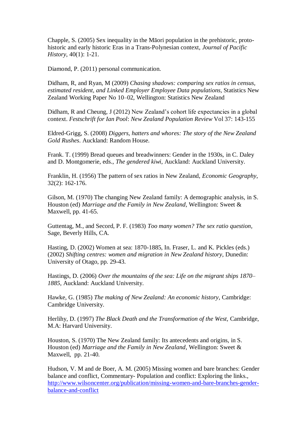Chapple, S. (2005) Sex inequality in the Māori population in the prehistoric, protohistoric and early historic Eras in a Trans-Polynesian context, *Journal of Pacific History*, 40(1): 1-21.

Diamond, P. (2011) personal communication.

Didham, R, and Ryan, M (2009) *Chasing shadows: comparing sex ratios in census, estimated resident, and Linked Employer Employee Data populations*, Statistics New Zealand Working Paper No 10–02, Wellington: Statistics New Zealand

Didham, R and Cheung, J (2012) New Zealand's cohort life expectancies in a global context. *Festschrift for Ian Pool*: *New Zealand Population Review* Vol 37: 143-155

Eldred-Grigg, S. (2008) *Diggers, hatters and whores: The story of the New Zealand Gold Rushes*. Auckland: Random House.

Frank. T. (1999) Bread queues and breadwinners: Gender in the 1930s, in C. Daley and D. Montgomerie, eds., *The gendered kiwi*, Auckland: Auckland University.

Franklin, H. (1956) The pattern of sex ratios in New Zealand, *Economic Geography*, 32(2): 162-176.

Gilson, M. (1970) The changing New Zealand family: A demographic analysis, in S. Houston (ed) *Marriage and the Family in New Zealand*, Wellington: Sweet & Maxwell, pp. 41-65.

Guttentag, M., and Secord, P. F. (1983) *Too many women? The sex ratio question,*  Sage, Beverly Hills, CA.

Hasting, D. (2002) Women at sea: 1870-1885, In. Fraser, L. and K. Pickles (eds.) (2002) *Shifting centres: women and migration in New Zealand history*, Dunedin: University of Otago, pp. 29-43.

Hastings, D. (2006) *Over the mountains of the sea: Life on the migrant ships 1870– 1885*, Auckland: Auckland University.

Hawke, G. (1985) *The making of New Zealand: An economic history*, Cambridge: Cambridge University.

Herlihy, D. (1997) *The Black Death and the Transformation of the West,* Cambridge, M.A: Harvard University.

Houston, S. (1970) The New Zealand family: Its antecedents and origins, in S. Houston (ed) *Marriage and the Family in New Zealand*, Wellington: Sweet & Maxwell, pp. 21-40.

Hudson, V. M and de Boer, A. M. (2005) Missing women and bare branches: Gender balance and conflict, Commentary- Population and conflict: Exploring the links., [http://www.wilsoncenter.org/publication/missing-women-and-bare-branches-gender](https://webmail.vuw.ac.nz/OWA/redir.aspx?C=b68a0b18fd554f3aa676a8d9b6ec7d94&URL=http%3a%2f%2fwww.wilsoncenter.org%2fpublication%2fmissing-women-and-bare-branches-gender-balance-and-conflict)[balance-and-conflict](https://webmail.vuw.ac.nz/OWA/redir.aspx?C=b68a0b18fd554f3aa676a8d9b6ec7d94&URL=http%3a%2f%2fwww.wilsoncenter.org%2fpublication%2fmissing-women-and-bare-branches-gender-balance-and-conflict)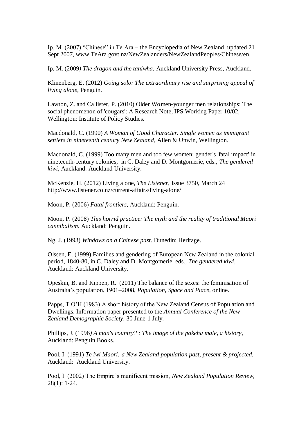Ip, M. (2007) "Chinese" in Te Ara – the Encyclopedia of New Zealand, updated 21 Sept 2007, www.TeAra.govt.nz/NewZealanders/NewZealandPeoples/Chinese/en.

Ip, M. (2009*) The dragon and the taniwha*, Auckland University Press, Auckland.

Klinenberg, E. (2012) *Going solo: The extraordinary rise and surprising appeal of living alone*, Penguin.

Lawton, Z. and Callister, P. (2010) Older Women-younger men relationships: The social phenomenon of 'cougars': A Research Note, IPS Working Paper 10/02, Wellington: Institute of Policy Studies.

Macdonald, C. (1990) *A Woman of Good Character. Single women as immigrant settlers in nineteenth century New Zealand*, Allen & Unwin, Wellington.

Macdonald, C. (1999) Too many men and too few women: gender's 'fatal impact' in nineteenth-century colonies, in C. Daley and D. Montgomerie, eds., *The gendered kiwi*, Auckland: Auckland University.

McKenzie, H. (2012) Living alone, *The Listener*, Issue 3750, March 24 http://www.listener.co.nz/current-affairs/living-alone/

Moon, P. (2006) *Fatal frontiers*, Auckland: Penguin.

Moon, P. (2008) *This horrid practice: The myth and the reality of traditional Maori cannibalism*. Auckland: Penguin.

Ng, J. (1993) *Windows on a Chinese past*. Dunedin: Heritage.

Olssen, E. (1999) Families and gendering of European New Zealand in the colonial period, 1840-80, in C. Daley and D. Montgomerie, eds., *The gendered kiwi*, Auckland: Auckland University.

Opeskin, B. and Kippen, R. (2011) The balance of the sexes: the feminisation of Australia's population, 1901–2008, *Population, Space and Place*, online.

Papps, T O'H (1983) A short history of the New Zealand Census of Population and Dwellings. Information paper presented to the *Annual Conference of the New Zealand Demographic Society,* 30 June-1 July.

Phillips, J. (1996*) A man's country? : The image of the pakeha male, a history*, Auckland: Penguin Books.

Pool, I. (1991) *Te iwi Maori: a New Zealand population past, present & projected*, Auckland: Auckland University.

Pool, I. (2002) The Empire's munificent mission, *New Zealand Population Review*, 28(1): 1-24.